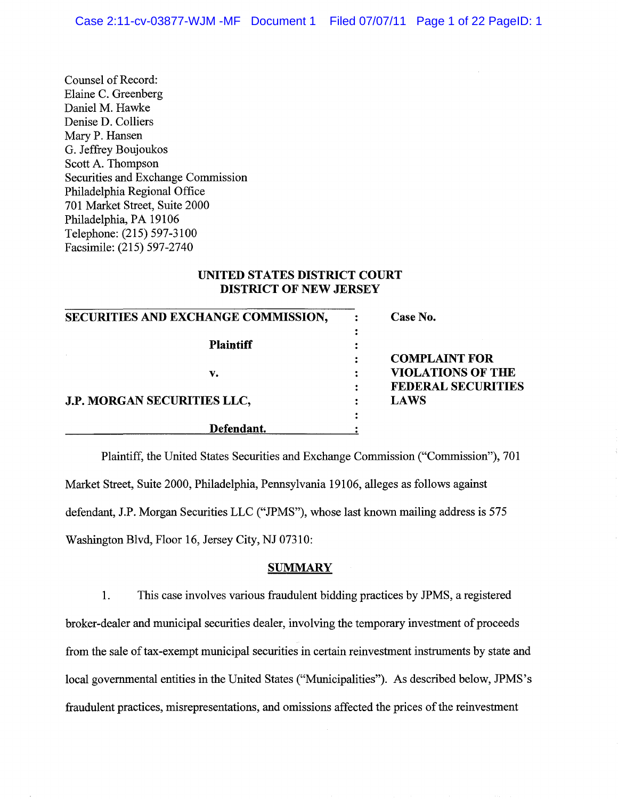Counsel of Record: Elaine C. Greenberg Daniel M. Hawke Denise D. Colliers Mary P. Hansen G. Jeffrey Boujoukos Scott A. Thompson Securities and Exchange Commission Philadelphia Regional Office 701 Market Street, Suite 2000 Philadelphia, PA 19106 Telephone: (215) 597-3100 Facsimile: (215) 597-2740

# **UNITED STATES DISTRICT COURT DISTRICT OF NEW JERSEY**

| SECURITIES AND EXCHANGE COMMISSION, | Case No.                  |
|-------------------------------------|---------------------------|
| <b>Plaintiff</b>                    |                           |
|                                     | <b>COMPLAINT FOR</b>      |
| v.                                  | <b>VIOLATIONS OF THE</b>  |
|                                     | <b>FEDERAL SECURITIES</b> |
| <b>J.P. MORGAN SECURITIES LLC,</b>  | <b>LAWS</b>               |
|                                     |                           |
| Defendant.                          |                           |

Plaintiff, the United States Securities and Exchange Commission ("Commission"), 701 Market Street, Suite 2000, Philadelphia, Pennsylvania 19106, alleges as follows against defendant, J.P. Morgan Securities LLC ("JPMS"), whose last known mailing address is 575 Washington Blvd, Floor 16, Jersey City, NJ 07310:

### **SUMMARY**

1. This case involves various fraudulent bidding practices by JPMS, a registered broker-dealer and municipal securities dealer, involving the temporary investment of proceeds from the sale of tax-exempt municipal securities in certain reinvestment instruments by state and local governmental entities in the United States ("Municipalities"). As described below, JPMS's fraudulent practices, misrepresentations, and omissions affected the prices of the reinvestment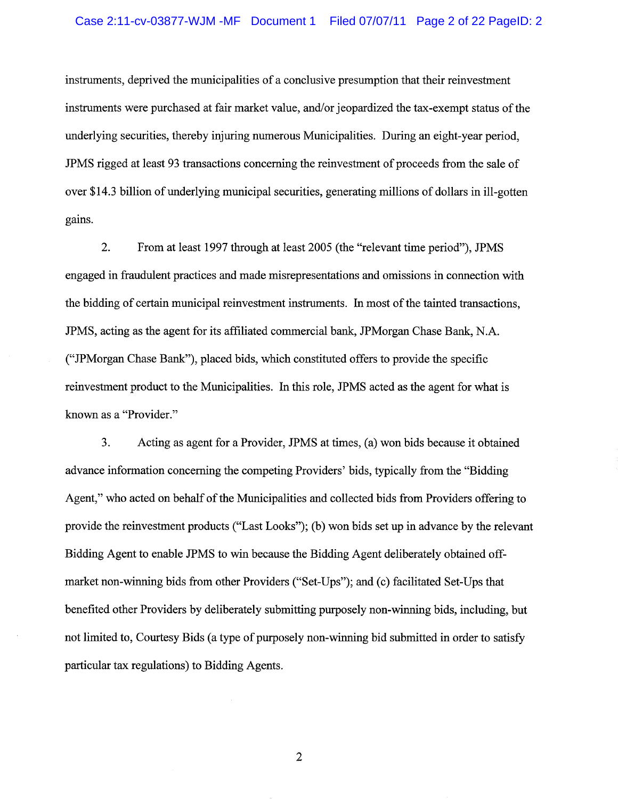instruments, deprived the municipalities of a conclusive presumption that their reinvestment instruments were purchased at fair market value, and/or jeopardized the tax-exempt status of the underlying securities, thereby injuring numerous Municipalities. During an eight-year period, JPMS rigged at least 93 transactions concerning the reinvestment of proceeds from the sale of over \$14.3 billion of underlying municipal securities, generating millions of dollars in ill-gotten gains.

2. From at least 1997 through at least 2005 (the "relevant time period"), JPMS engaged in fraudulent practices and made misrepresentations and omissions in connection with the bidding of certain municipal reinvestment instruments. In most of the tainted transactions, JPMS, acting as the agent for its affiliated commercial bank, JPMorgan Chase Bank, N.A. ("JPMorgan Chase Bank"), placed bids, which constituted offers to provide the specific reinvestment product to the Municipalities. In this role, JPMS acted as the agent for what is known as a "Provider."

3. Acting as agent for a Provider, JPMS at times, (a) won bids because it obtained advance information concerning the competing Providers' bids, typically from the "Bidding Agent," who acted on behalf of the Municipalities and collected bids from Providers offering to provide the reinvestment products ("Last Looks"); (b) won bids set up in advance by the relevant Bidding Agent to enable JPMS to win because the Bidding Agent deliberately obtained offmarket non-winning bids from other Providers ("Set-Ups"); and (c) facilitated Set-Ups that benefited other Providers by deliberately submitting purposely non-winning bids, including, but not limited to, Courtesy Bids (a type of purposely non-winning bid submitted in order to satisfy particular tax regulations) to Bidding Agents.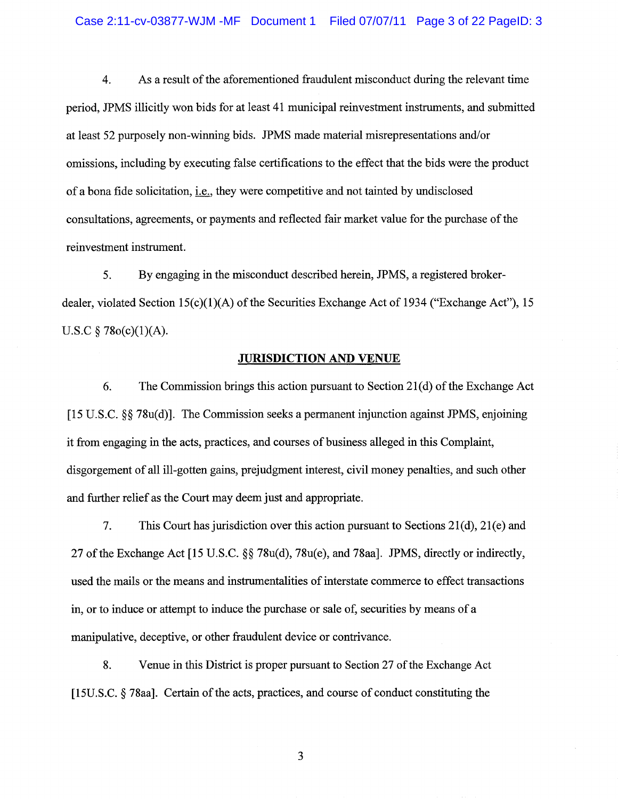4. As a result of the aforementioned fraudulent misconduct during the relevant time period, JPMS illicitly won bids for at least 41 municipal reinvestment instruments, and submitted at least 52 purposely non-winning bids. JPMS made material misrepresentations and/or omissions, including by executing false certifications to the effect that the bids were the product of a bona fide solicitation, i.e., they were competitive and not tainted by undisclosed consultations, agreements, or payments and reflected fair market value for the purchase of the reinvestment instrument.

5. By engaging in the misconduct described herein, JPMS, a registered brokerdealer, violated Section 15(c)(1)(A) of the Securities Exchange Act of 1934 ("Exchange Act"), 15 U.S.C  $\S$  78o(c)(1)(A).

#### **JURISDICTION AND VENUE**

6. The Commission brings this action pursuant to Section 21(d) of the Exchange Act [15 U.S.C. §§ 78u(d)]. The Commission seeks a permanent injunction against JPMS, enjoining it from engaging in the acts, practices, and courses of business alleged in this Complaint, disgorgement of all ill-gotten gains, prejudgment interest, civil money penalties, and such other and further relief as the Court may deem just and appropriate.

7. This Court has jurisdiction over this action pursuant to Sections  $21(d)$ ,  $21(e)$  and 27 ofthe Exchange Act [15 U.S.C. §§ 78u(d), 78u(e), and 78aa]. JPMS, directly or indirectly, used the mails or the means and instrumentalities of interstate commerce to effect transactions in, or to induce or attempt to induce the purchase or sale of, securities by means of a manipulative, deceptive, or other fraudulent device or contrivance.

8. Venue in this District is proper pursuant to Section 27 of the Exchange Act  $[15U.S.C. § 78aa]$ . Certain of the acts, practices, and course of conduct constituting the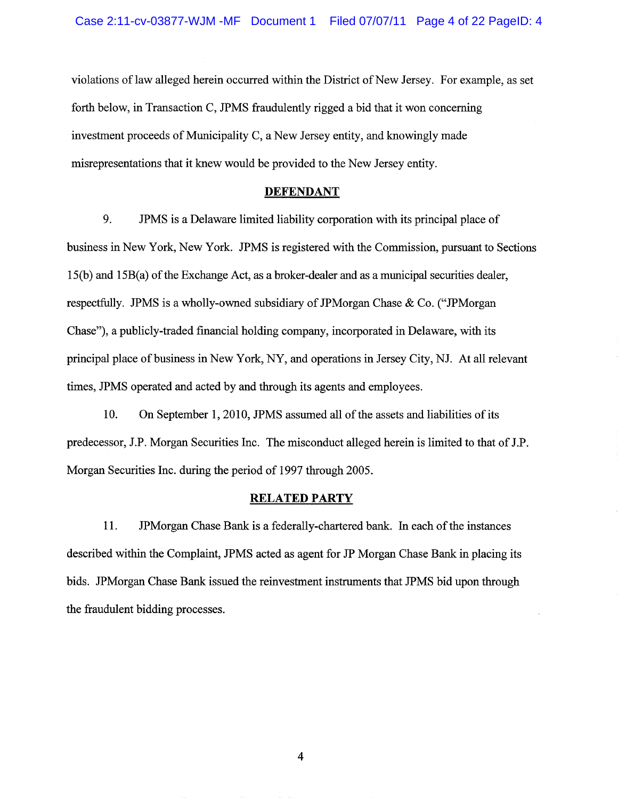violations oflaw alleged herein occurred within the District of New Jersey. For example, as set forth below, in Transaction C, JPMS fraudulently rigged a bid that it won concerning investment proceeds of Municipality C, a New Jersey entity, and knowingly made misrepresentations that it knew would be provided to the New Jersey entity.

### **DEFENDANT**

9. JPMS is a Delaware limited liability corporation with its principal place of business in New York, New York. JPMS is registered with the Commission, pursuant to Sections 15(b) and 15B(a) of the Exchange Act, as a broker-dealer and as a municipal securities dealer, respectfully. JPMS is a wholly-owned subsidiary of JPMorgan Chase & Co. ("JPMorgan Chase"), a publicly-traded financial holding company, incorporated in Delaware, with its principal place of business in New York, NY, and operations in Jersey City, NJ. At all relevant times, JPMS operated and acted by and through its agents and employees.

10. On September 1,2010, JPMS assumed all of the assets and liabilities of its predecessor, J.P. Morgan Securities Inc. The misconduct alleged herein is limited to that of J.P. Morgan Securities Inc. during the period of 1997 through 2005.

#### RELATED PARTY

11. JPMorgan Chase Bank is a federally-chartered bank. In each of the instances described within the Complaint, JPMS acted as agent for JP Morgan Chase Bank in placing its bids. JPMorgan Chase Bank issued the reinvestment instruments that JPMS bid upon through the fraudulent bidding processes.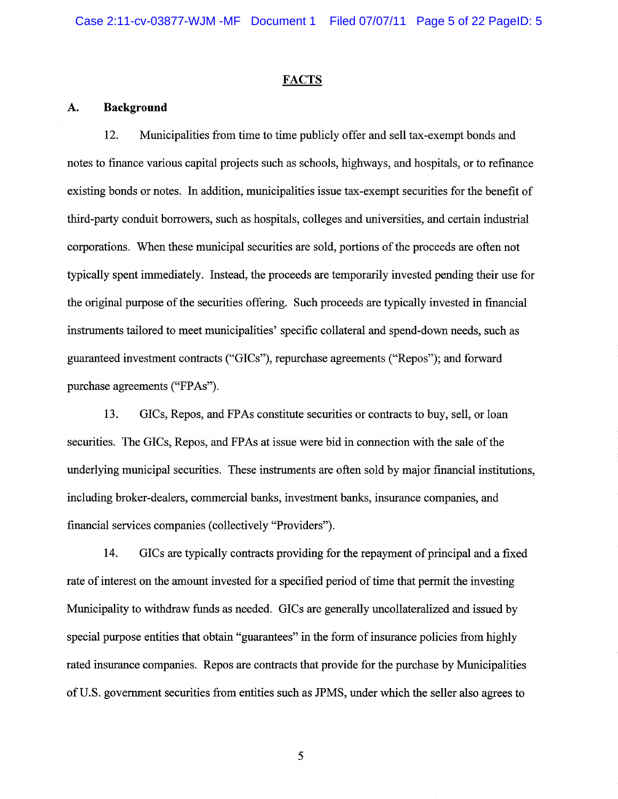#### **FACTS**

### **A. Background**

12. Municipalities from time to time publicly offer and sell tax-exempt bonds and notes to finance various capital projects such as schools, highways, and hospitals, or to refinance existing bonds or notes. In addition, municipalities issue tax -exempt securities for the benefit of third-party conduit borrowers, such as hospitals, colleges and universities, and certain industrial corporations. When these municipal securities are sold, portions of the proceeds are often not typically spent immediately. Instead, the proceeds are temporarily invested pending their use for the original purpose of the securities offering. Such proceeds are typically invested in financial instruments tailored to meet municipalities' specific collateral and spend-down needs, such as guaranteed investment contracts ("GICs"), repurchase agreements ("Repos"); and forward purchase agreements ("FPAs").

13. GICs, Repos, and FPAs constitute securities or contracts to buy, sell, or loan securities. The GICs, Repos, and FPAs at issue were bid in connection with the sale of the underlying municipal securities. These instruments are often sold by major financial institutions, including broker-dealers, commercial banks, investment banks, insurance companies, and financial services companies (collectively "Providers").

14. GICs are typically contracts providing for the repayment of principal and a fixed rate of interest on the amount invested for a specified period of time that permit the investing Municipality to withdraw funds as needed. GICs are generally uncollateralized and issued by special purpose entities that obtain "guarantees" in the form of insurance policies from highly rated insurance companies. Repos are contracts that provide for the purchase by Municipalities of U.S. government securities from entities such as JPMS, under which the seller also agrees to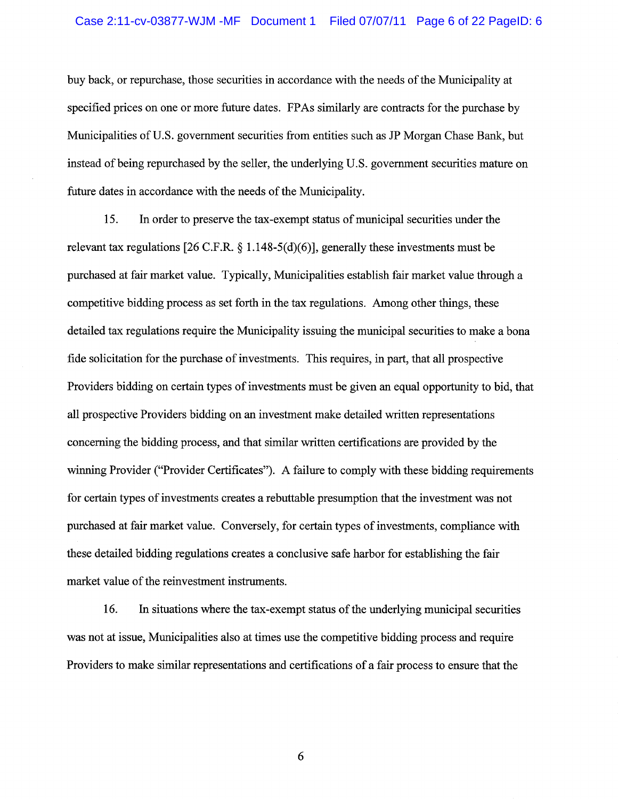buy back, or repurchase, those securities in accordance with the needs of the Municipality at specified prices on one or more future dates. FP As similarly are contracts for the purchase by Municipalities of U.S. government securities from entities such as JP Morgan Chase Bank, but instead of being repurchased by the seller, the underlying U.S. government securities mature on future dates in accordance with the needs of the Municipality.

15. In order to preserve the tax-exempt status of municipal securities under the relevant tax regulations [26 C.F.R. § 1. 148-5(d)(6)], generally these investments must be purchased at fair market value. Typically, Municipalities establish fair market value through a competitive bidding process as set forth in the tax regulations. Among other things, these detailed tax regulations require the Municipality issuing the municipal securities to make a bona fide solicitation for the purchase of investments. This requires, in part, that all prospective Providers bidding on certain types of investments must be given an equal opportunity to bid, that all prospective Providers bidding on an investment make detailed written representations concerning the bidding process, and that similar written certifications are provided by the winning Provider ("Provider Certificates"). A failure to comply with these bidding requirements for certain types of investments creates a rebuttable presumption that the investment was not purchased at fair market value. Conversely, for certain types of investments, compliance with these detailed bidding regulations creates a conclusive safe harbor for establishing the fair market value of the reinvestment instruments.

16. In situations where the tax-exempt status of the underlying municipal securities was not at issue, Municipalities also at times use the competitive bidding process and require Providers to make similar representations and certifications of a fair process to ensure that the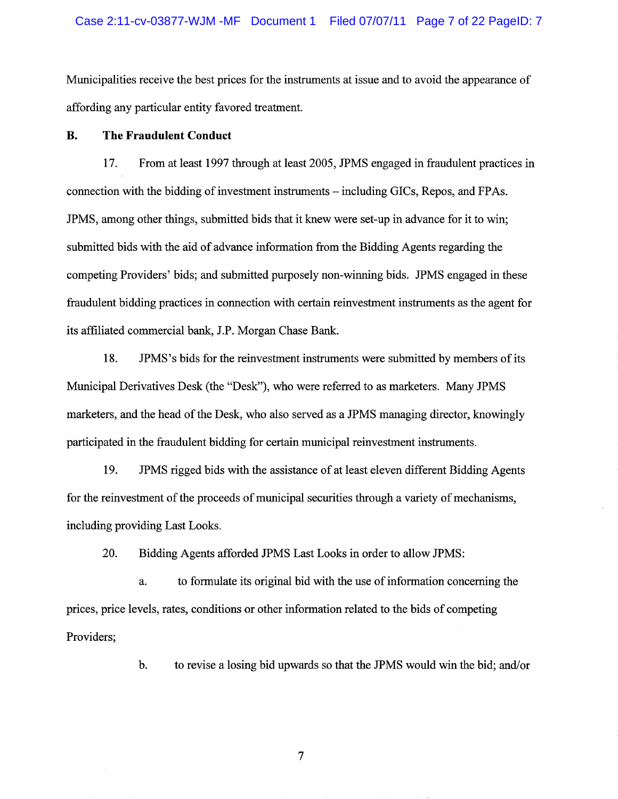Municipalities receive the best prices for the instruments at issue and to avoid the appearance of affording any particular entity favored treatment.

# **B. The Fraudulent Conduct**

17. From at least 1997 through at least 2005, JPMS engaged in fraudulent practices in connection with the bidding of investment instruments - including GICs, Repos, and FPAs. JPMS, among other things, submitted bids that it knew were set-up in advance for it to win; submitted bids with the aid of advance information from the Bidding Agents regarding the competing Providers' bids; and submitted purposely non-winning bids. JPMS engaged in these fraudulent bidding practices in connection with certain reinvestment instruments as the agent for its affiliated commercial bank, J.P. Morgan Chase Bank.

18. JPMS's bids for the reinvestment instruments were submitted by members of its Municipal Derivatives Desk (the "Desk"), who were referred to as marketers. Many JPMS marketers, and the head of the Desk, who also served as a JPMS managing director, knowingly participated in the fraudulent bidding for certain municipal reinvestment instruments.

19. JPMS rigged bids with the assistance of at least eleven different Bidding Agents for the reinvestment of the proceeds of municipal securities through a variety of mechanisms, including providing Last Looks.

20. Bidding Agents afforded JPMS Last Looks in order to allow JPMS:

a. to formulate its original bid with the use of information concerning the prices, price levels, rates, conditions or other information related to the bids of competing Providers;

b. to revise a losing bid upwards so that the JPMS would win the bid; and/or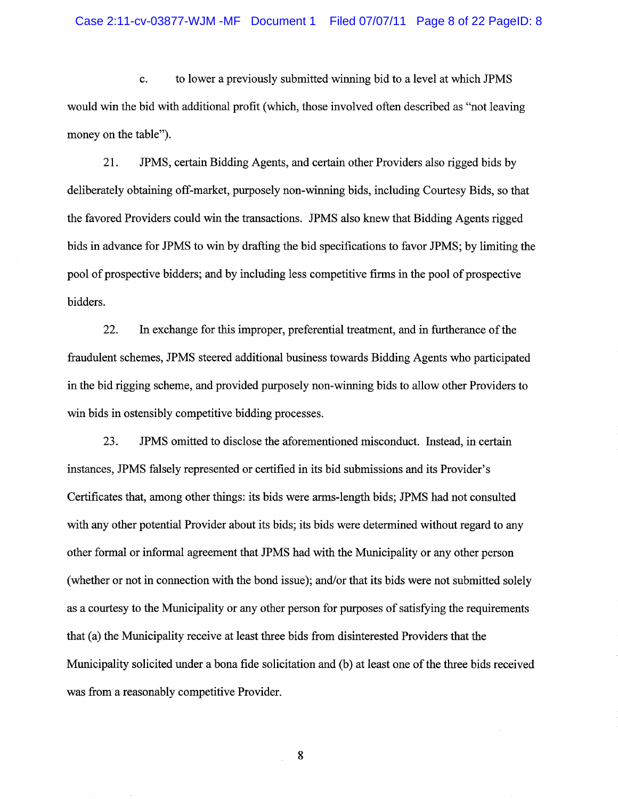c. to lower a previously submitted winning bid to a level at which JPMS would win the bid with additional profit (which, those involved often described as "not leaving money on the table").

21. JPMS, certain Bidding Agents, and certain other Providers also rigged bids by deliberately obtaining off-market, purposely non-winning bids, including Courtesy Bids, so that the favored Providers could win the transactions. JPMS also knew that Bidding Agents rigged bids in advance for JPMS to win by drafting the bid specifications to favor JPMS; by limiting the pool of prospective bidders; and by including less competitive firms in the pool of prospective bidders.

22. In exchange for this improper, preferential treatment, and in furtherance of the fraudulent schemes, JPMS steered additional business towards Bidding Agents who participated in the bid rigging scheme, and provided purposely non-winning bids to allow other Providers to win bids in ostensibly competitive bidding processes.

23. JPMS omitted to disclose the aforementioned misconduct. Instead, in certain instances, JPMS falsely represented or certified in its bid submissions and its Provider's Certificates that, among other things: its bids were arms-length bids; JPMS had not consulted with any other potential Provider about its bids; its bids were determined without regard to any other formal or informal agreement that JPMS had with the Municipality or any other person (whether or not in connection with the bond issue); and/or that its bids were not submitted solely as a courtesy to the Municipality or any other person for purposes of satisfying the requirements that (a) the Municipality receive at least three bids from disinterested Providers that the Municipality solicited under a bona fide solicitation and (b) at least one of the three bids received was from a reasonably competitive Provider.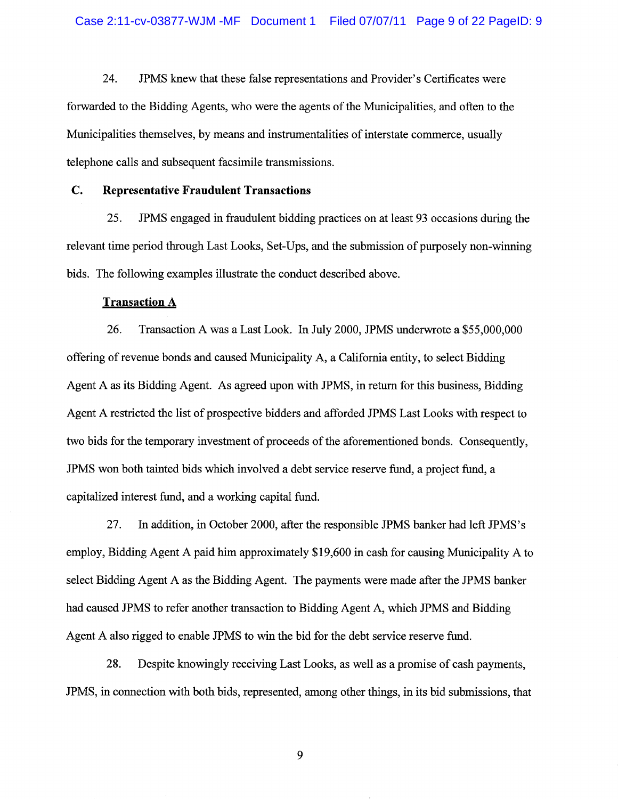24. JPMS knew that these false representations and Provider's Certificates were forwarded to the Bidding Agents, who were the agents of the Municipalities, and often to the Municipalities themselves, by means and instrumentalities of interstate commerce, usually telephone calls and subsequent facsimile transmissions.

# C. **Representative Fraudulent Transactions**

25. JPMS engaged in fraudulent bidding practices on at least 93 occasions during the relevant time period through Last Looks, Set-Ups, and the submission of purposely non-winning bids. The following examples illustrate the conduct described above.

# **Transaction** A

26. Transaction A was a Last Look. In July 2000, JPMS underwrote a \$55,000,000 offering of revenue bonds and caused Municipality A, a California entity, to select Bidding Agent A as its Bidding Agent. As agreed upon with JPMS, in return for this business, Bidding Agent A restricted the list of prospective bidders and afforded JPMS Last Looks with respect to two bids for the temporary investment of proceeds of the aforementioned bonds. Consequently, JPMS won both tainted bids which involved a debt service reserve fund, a project fund, a capitalized interest fund, and a working capital fund.

27. In addition, in October 2000, after the responsible JPMS banker had left JPMS's employ, Bidding Agent A paid him approximately \$19,600 in cash for causing Municipality A to select Bidding Agent A as the Bidding Agent. The payments were made after the JPMS banker had caused JPMS to refer another transaction to Bidding Agent A, which JPMS and Bidding Agent A also rigged to enable JPMS to win the bid for the debt service reserve fund.

28. Despite knowingly receiving Last Looks, as well as a promise of cash payments, JPMS, in connection with both bids, represented, among other things, in its bid submissions, that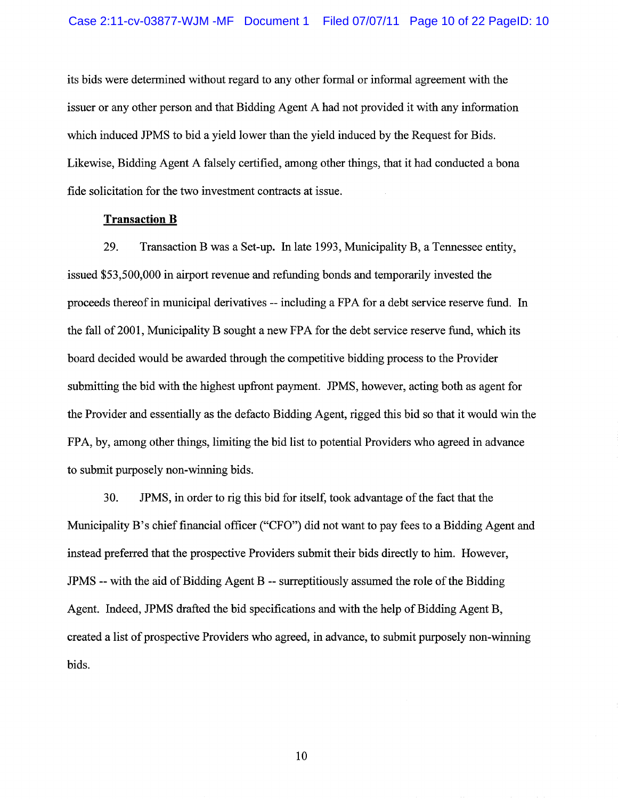its bids were determined without regard to any other formal or informal agreement with the issuer or any other person and that Bidding Agent A had not provided it with any information which induced JPMS to bid a yield lower than the yield induced by the Request for Bids. Likewise, Bidding Agent A falsely certified, among other things, that it had conducted a bona fide solicitation for the two investment contracts at issue.

## **Transaction B**

29. Transaction B was a Set-up. In late 1993, Municipality B, a Tennessee entity, issued \$53,500,000 in airport revenue and refunding bonds and temporarily invested the proceeds thereof in municipal derivatives -- including a FPA for a debt service reserve fund. In the fall of 2001, Municipality B sought a new FPA for the debt service reserve fund, which its board decided would be awarded through the competitive bidding process to the Provider submitting the bid with the highest upfront payment. JPMS, however, acting both as agent for the Provider and essentially as the defacto Bidding Agent, rigged this bid so that it would win the FPA, by, among other things, limiting the bid list to potential Providers who agreed in advance to submit purposely non-winning bids.

30. JPMS, in order to rig this bid for itself, took advantage of the fact that the Municipality B's chief financial officer ("CFO") did not want to pay fees to a Bidding Agent and instead preferred that the prospective Providers submit their bids directly to him. However, JPMS -- with the aid of Bidding Agent B -- surreptitiously assumed the role ofthe Bidding Agent. Indeed, JPMS drafted the bid specifications and with the help of Bidding Agent B, created a list of prospective Providers who agreed, in advance, to submit purposely non-winning bids.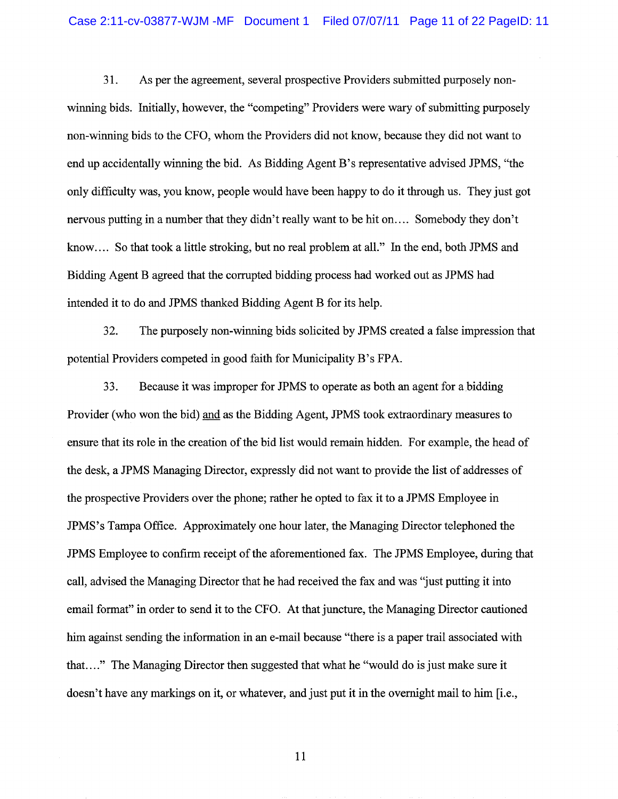31. As per the agreement, several prospective Providers submitted purposely nonwinning bids. Initially, however, the "competing" Providers were wary of submitting purposely non-winning bids to the CFO, whom the Providers did not know, because they did not want to end up accidentally winning the bid. As Bidding Agent B's representative advised JPMS, "the only difficulty was, you know, people would have been happy to do it through us. They just got nervous putting in a number that they didn't really want to be hit on.... Somebody they don't know.... So that took a little stroking, but no real problem at all." In the end, both JPMS and Bidding Agent B agreed that the corrupted bidding process had worked out as JPMS had intended it to do and JPMS thanked Bidding Agent B for its help.

32. The purposely non-winning bids solicited by JPMS created a false impression that potential Providers competed in good faith for Municipality B's FPA.

33. Because it was improper for JPMS to operate as both an agent for a bidding Provider (who won the bid) and as the Bidding Agent, JPMS took extraordinary measures to ensure that its role in the creation of the bid list would remain hidden. For example, the head of the desk, a JPMS Managing Director, expressly did not want to provide the list of addresses of the prospective Providers over the phone; rather he opted to fax it to a JPMS Employee in JPMS's Tampa Office. Approximately one hour later, the Managing Director telephoned the JPMS Employee to confirm receipt of the aforementioned fax. The JPMS Employee, during that call, advised the Managing Director that he had received the fax and was ''just putting it into email format" in order to send it to the CFO. At that juncture, the Managing Director cautioned him against sending the information in an e-mail because "there is a paper trail associated with that. ... " The Managing Director then suggested that what he "would do is just make sure it doesn't have any markings on it, or whatever, and just put it in the overnight mail to him [i.e.,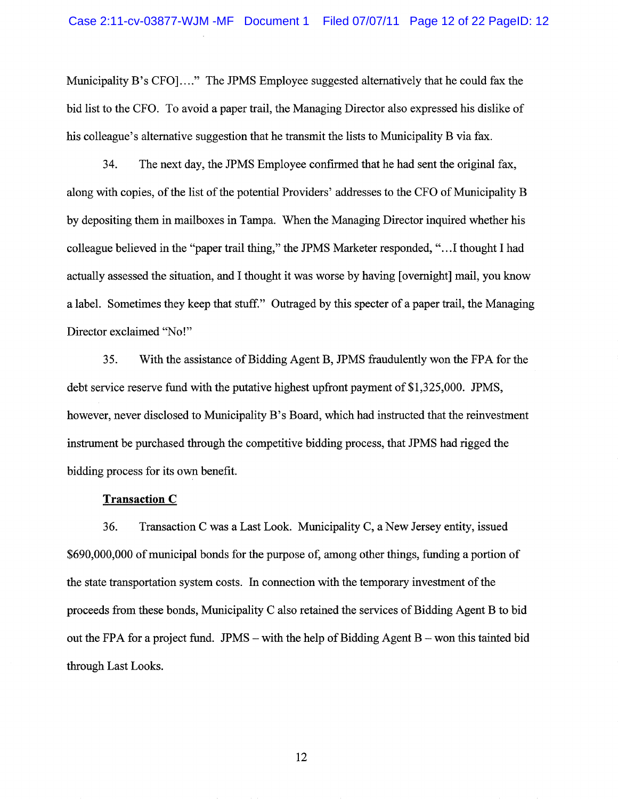Municipality B's CFO]...." The JPMS Employee suggested alternatively that he could fax the bid list to the CFO. To avoid a paper trail, the Managing Director also expressed his dislike of his colleague's alternative suggestion that he transmit the lists to Municipality B via fax.

34. The next day, the JPMS Employee confirmed that he had sent the original fax, along with copies, of the list of the potential Providers' addresses to the CFO of Municipality B by depositing them in mailboxes in Tampa. When the Managing Director inquired whether his colleague believed in the "paper trail thing," the JPMS Marketer responded, " ... 1 thought I had actually assessed the situation, and I thought it was worse by having [overnight] mail, you know a label. Sometimes they keep that stuff." Outraged by this specter of a paper trail, the Managing Director exclaimed "No!"

35. With the assistance of Bidding Agent B, JPMS fraudulently won the FPA for the debt service reserve fund with the putative highest upfront payment of \$1,325,000. JPMS, however, never disclosed to Municipality B's Board, which had instructed that the reinvestment instrument be purchased through the competitive bidding process, that JPMS had rigged the bidding process for its own benefit.

## **Transaction C**

36. Transaction C was a Last Look. Municipality C, a New Jersey entity, issued \$690,000,000 of municipal bonds for the purpose of, among other things, funding a portion of the state transportation system costs. In connection with the temporary investment of the proceeds from these bonds, Municipality C also retained the services of Bidding Agent B to bid out the FPA for a project fund. JPMS – with the help of Bidding Agent  $B$  – won this tainted bid through Last Looks.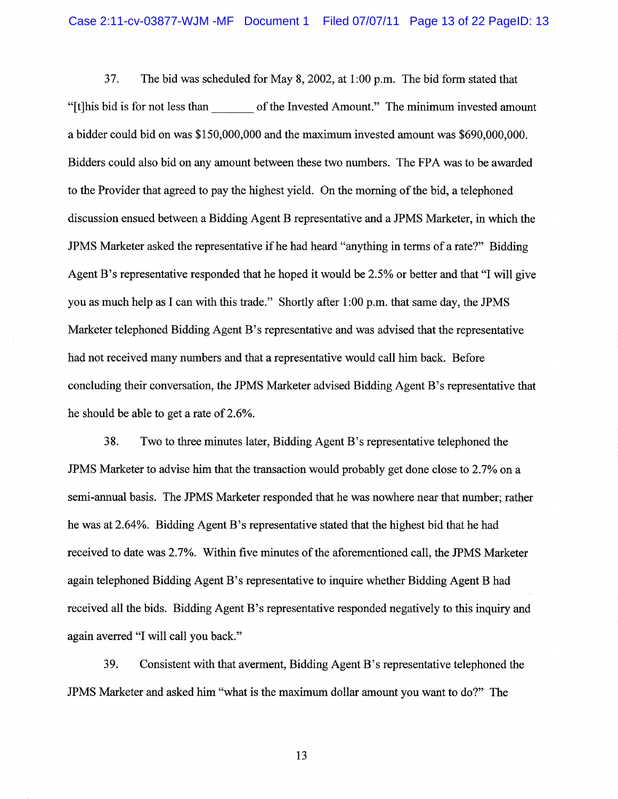37. The bid was scheduled for May 8, 2002, at 1 :00 p.m. The bid form stated that "[t]his bid is for not less than \_\_\_ of the Invested Amount." The minimum invested amount a bidder could bid on was \$150,000,000 and the maximum invested amount was \$690,000,000. Bidders could also bid on any amount between these two numbers. The FPA was to be awarded to the Provider that agreed to pay the highest yield. On the morning of the bid, a telephoned discussion ensued between a Bidding Agent B representative and a JPMS Marketer, in which the JPMS Marketer asked the representative if he had heard "anything in terms of a rate?" Bidding Agent B's representative responded that he hoped it would be 2.5% or better and that "I will give you as much help as I can with this trade." Shortly after 1 :00 p.m. that same day, the JPMS Marketer telephoned Bidding Agent B's representative and was advised that the representative had not received many numbers and that a representative would call him back. Before concluding their conversation, the JPMS Marketer advised Bidding Agent B's representative that he should be able to get a rate of 2.6%.

38. Two to three minutes later, Bidding Agent B's representative telephoned the JPMS Marketer to advise him that the transaction would probably get done close to 2.7% on a semi-annual basis. The JPMS Marketer responded that he was nowhere near that number; rather he was at 2.64%. Bidding Agent B's representative stated that the highest bid that he had received to date was 2.7%. Within five minutes of the aforementioned call, the JPMS Marketer again telephoned Bidding Agent B's representative to inquire whether Bidding Agent B had received all the bids. Bidding Agent B's representative responded negatively to this inquiry and again averred "I will call you back."

39. Consistent with that averment, Bidding Agent B's representative telephoned the JPMS Marketer and asked him "what is the maximum dollar amount you want to do?" The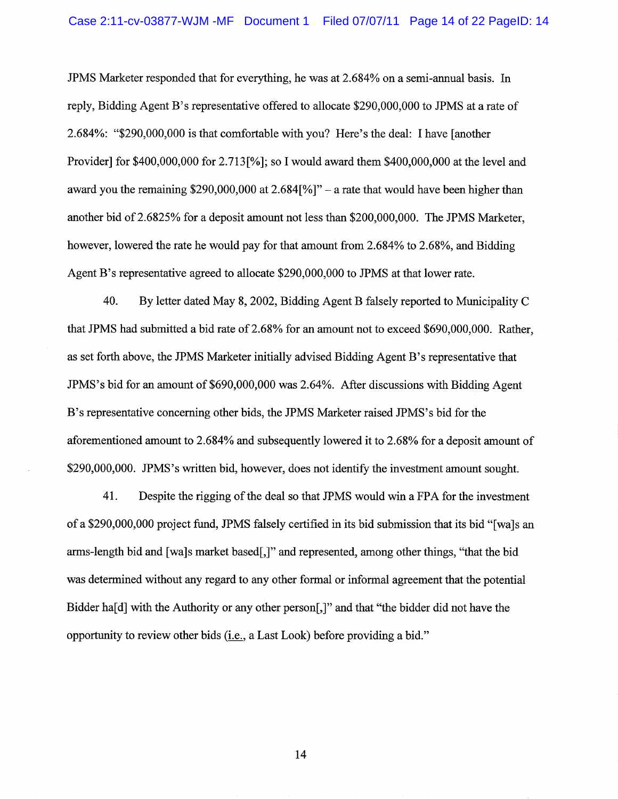JPMS Marketer responded that for everything, he was at 2.684% on a semi-annual basis. In reply, Bidding Agent B's representative offered to allocate \$290,000,000 to JPMS at a rate of 2.684%: "\$290,000,000 is that comfortable with you? Here's the deal: I have [another Provider] for \$400,000,000 for 2.713[%]; so I would award them \$400,000,000 at the level and award you the remaining  $$290,000,000$  at  $2.684$ [%]" – a rate that would have been higher than another bid of 2.6825% for a deposit amount not less than \$200,000,000. The JPMS Marketer, however, lowered the rate he would pay for that amount from 2.684% to 2.68%, and Bidding Agent B's representative agreed to allocate \$290,000,000 to JPMS at that lower rate.

40. By letter dated May 8, 2002, Bidding Agent B falsely reported to Municipality C that JPMS had submitted a bid rate of 2.68% for an amount not to exceed \$690,000,000. Rather, as set forth above, the JPMS Marketer initially advised Bidding Agent B's representative that JPMS's bid for an amount of \$690,000,000 was 2.64%. After discussions with Bidding Agent B's representative concerning other bids, the JPMS Marketer raised JPMS's bid for the aforementioned amount to 2.684% and subsequently lowered it to 2.68% for a deposit amount of \$290,000,000. JPMS's written bid, however, does not identify the investment amount sought.

41. Despite the rigging of the deal so that JPMS would win a FPA for the investment of a \$290,000,000 project fund, JPMS falsely certified in its bid submission that its bid "[wa]s an arms-length bid and [wa]s market based[,]" and represented, among other things, "that the bid was determined without any regard to any other formal or informal agreement that the potential Bidder ha[d] with the Authority or any other person[,]" and that "the bidder did not have the opportunity to review other bids (i.e., a Last Look) before providing a bid."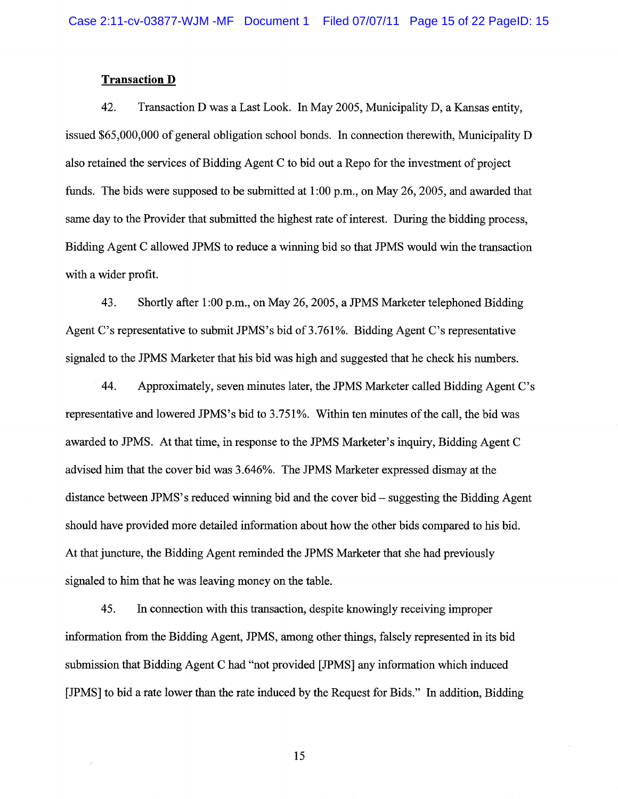#### **Transaction D**

42. Transaction D was a Last Look. In May 2005, Municipality D, a Kansas entity, issued \$65,000,000 of general obligation school bonds. In connection therewith, Municipality D also retained the services of Bidding Agent C to bid out a Repo for the investment of project funds. The bids were supposed to be submitted at 1:00 p.m., on May 26, 2005, and awarded that same day to the Provider that submitted the highest rate of interest. During the bidding process, Bidding Agent C allowed JPMS to reduce a winning bid so that JPMS would win the transaction with a wider profit.

43. Shortly after 1 :00 p.m., on May 26,2005, a JPMS Marketer telephoned Bidding Agent C's representative to submit JPMS's bid of  $3.761\%$ . Bidding Agent C's representative signaled to the JPMS Marketer that his bid was high and suggested that he check his numbers.

44. Approximately, seven minutes later, the JPMS Marketer called Bidding Agent C's representative and lowered JPMS's bid to 3.751%. Within ten minutes of the call, the bid was awarded to JPMS. At that time, in response to the JPMS Marketer's inquiry, Bidding Agent C advised him that the cover bid was 3.646%. The JPMS Marketer expressed dismay at the distance between JPMS's reduced winning bid and the cover bid – suggesting the Bidding Agent should have provided more detailed information about how the other bids compared to his bid. At that juncture, the Bidding Agent reminded the JPMS Marketer that she had previously signaled to him that he was leaving money on the table.

45. In connection with this transaction, despite knowingly receiving improper information from the Bidding Agent, JPMS, among other things, falsely represented in its bid submission that Bidding Agent C had "not provided [JPMS] any information which induced [JPMS] to bid a rate lower than the rate induced by the Request for Bids." In addition, Bidding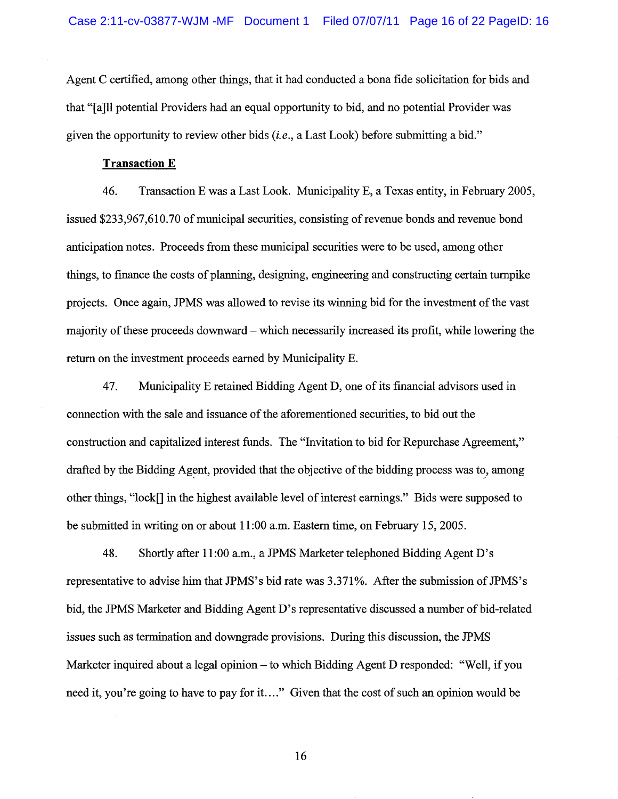Agent C certified, among other things, that it had conducted a bona fide solicitation for bids and that "[a]ll potential Providers had an equal opportunity to bid, and no potential Provider was given the opportunity to review other bids *(i.e.,* a Last Look) before submitting a bid."

### **Transaction E**

46. Transaction E was a Last Look. Municipality E, a Texas entity, in February 2005, issued \$233,967,610.70 of municipal securities, consisting of revenue bonds and revenue bond anticipation notes. Proceeds from these municipal securities were to be used, among other things, to finance the costs of planning, designing, engineering and constructing certain turnpike projects. Once again, JPMS was allowed to revise its winning bid for the investment of the vast majority of these proceeds downward – which necessarily increased its profit, while lowering the return on the investment proceeds earned by Municipality E.

47. Municipality E retained Bidding Agent D, one of its financial advisors used in connection with the sale and issuance of the aforementioned securities, to bid out the construction and capitalized interest funds. The "Invitation to bid for Repurchase Agreement," drafted by the Bidding Agent, provided that the objective of the bidding process was to, among other things, "lock[] in the highest available level of interest earnings." Bids were supposed to be submitted in writing on or about 11 :00 a.m. Eastern time, on February 15, 2005.

48. Shortly after 11 :00 a.m., a JPMS Marketer telephoned Bidding Agent D's representative to advise him that JPMS's bid rate was 3.371%. After the submission of JPMS's bid, the JPMS Marketer and Bidding Agent D's representative discussed a number of bid-related issues such as termination and downgrade provisions. During this discussion, the JPMS Marketer inquired about a legal opinion – to which Bidding Agent D responded: "Well, if you need it, you're going to have to pay for it...." Given that the cost of such an opinion would be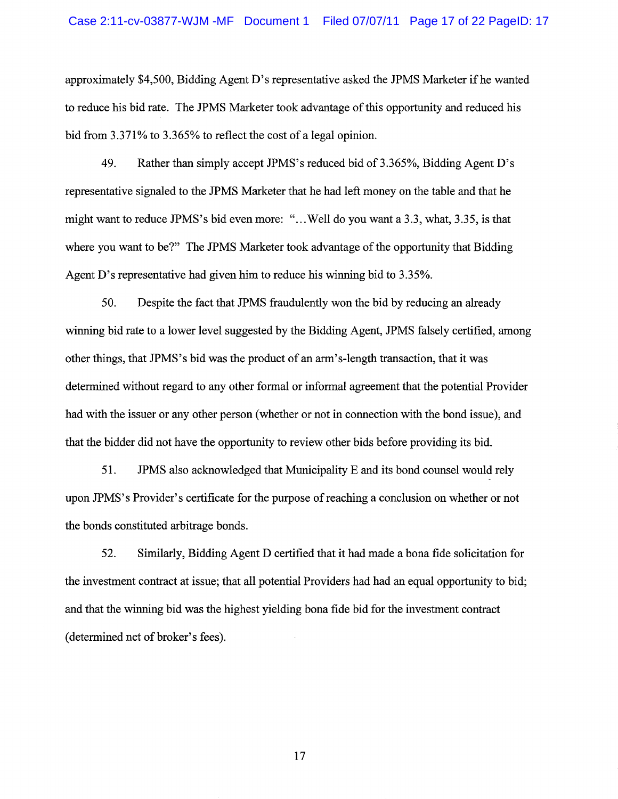approximately \$4,500, Bidding Agent D's representative asked the JPMS Marketer ifhe wanted to reduce his bid rate. The JPMS Marketer took advantage of this opportunity and reduced his bid from 3.371% to 3.365% to reflect the cost of a legal opinion.

49. Rather than simply accept JPMS's reduced bid of 3.365%, Bidding Agent D's representative signaled to the JPMS Marketer that he had left money on the table and that he might want to reduce JPMS's bid even more: " ... Well do you want a 3.3, what, 3.35, is that where you want to be?" The JPMS Marketer took advantage of the opportunity that Bidding Agent D's representative had given him to reduce his winning bid to 3.35%.

50. Despite the fact that JPMS fraudulently won the bid by reducing an already winning bid rate to a lower level suggested by the Bidding Agent, JPMS falsely certified, among other things, that JPMS's bid was the product of an arm's-length transaction, that it was determined without regard to any other formal or informal agreement that the potential Provider had with the issuer or any other person (whether or not in connection with the bond issue), and that the bidder did not have the opportunity to review other bids before providing its bid.

51. JPMS also acknowledged that Municipality E and its bond counsel would rely upon JPMS's Provider's certificate for the purpose of reaching a conclusion on whether or not the bonds constituted arbitrage bonds.

52. Similarly, Bidding Agent D certified that it had made a bona fide solicitation for the investment contract at issue; that all potential Providers had had an equal opportunity to bid; and that the winning bid was the highest yielding bona fide bid for the investment contract (determined net of broker's fees).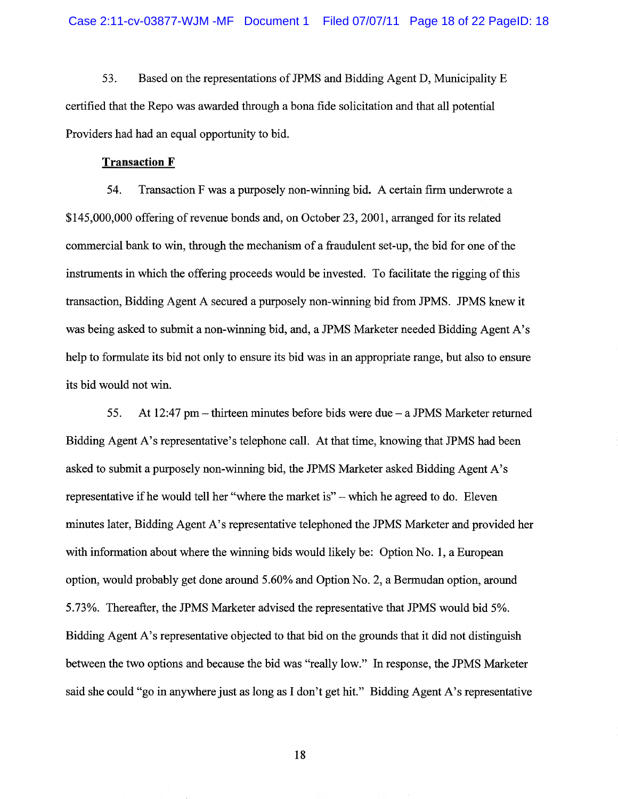53. Based on the representations of JPMS and Bidding Agent D, Municipality E certified that the Repo was awarded through a bona fide solicitation and that all potential Providers had had an equal opportunity to bid.

# **Transaction F**

54. Transaction F was a purposely non-winning bid. A certain firm underwrote a \$145,000,000 offering of revenue bonds and, on October 23,2001, arranged for its related commercial bank to win, through the mechanism of a fraudulent set-up, the bid for one of the instruments in which the offering proceeds would be invested. To facilitate the rigging of this transaction, Bidding Agent A secured a purposely non-winning bid from JPMS. JPMS knew it was being asked to submit a non-winning bid, and, a JPMS Marketer needed Bidding Agent A's help to formulate its bid not only to ensure its bid was in an appropriate range, but also to ensure its bid would not win.

55. At 12:47 pm – thirteen minutes before bids were due  $-$  a JPMS Marketer returned Bidding Agent A's representative's telephone call. At that time, knowing that JPMS had been asked to submit a purposely non-winning bid, the JPMS Marketer asked Bidding Agent A's representative if he would tell her "where the market is" - which he agreed to do. Eleven minutes later, Bidding Agent A's representative telephoned the JPMS Marketer and provided her with information about where the winning bids would likely be: Option No.1, a European option, would probably get done around 5.60% and Option No.2, a Bermudan option, around 5.73%. Thereafter, the JPMS Marketer advised the representative that JPMS would bid 5%. Bidding Agent A's representative objected to that bid on the grounds that it did not distinguish between the two options and because the bid was "really low." In response, the JPMS Marketer said she could "go in anywhere just as long as I don't get hit." Bidding Agent A's representative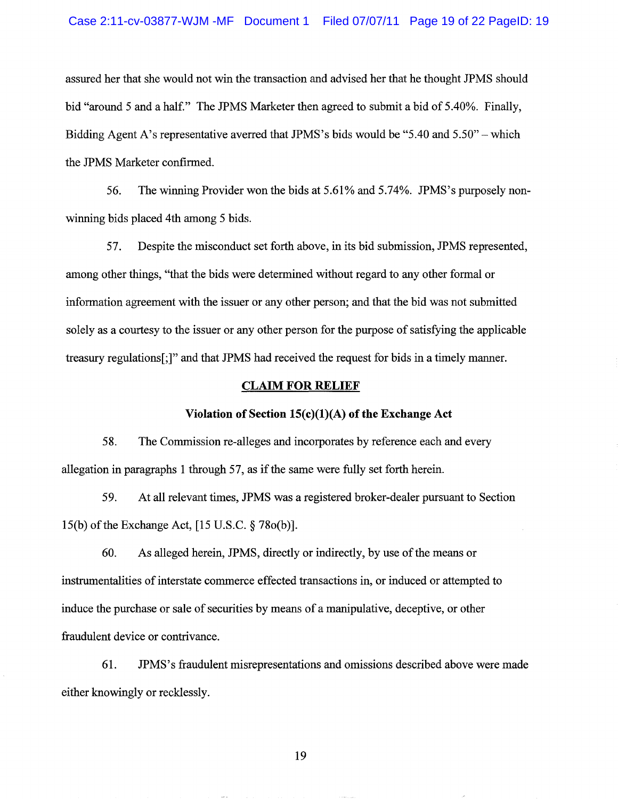assured her that she would not win the transaction and advised her that he thought JPMS should bid "around 5 and a half." The JPMS Marketer then agreed to submit a bid of 5.40%. Finally, Bidding Agent A's representative averred that JPMS's bids would be "5.40 and 5.50" - which the JPMS Marketer confirmed.

56. The winning Provider won the bids at 5.61 % and 5.74%. JPMS's purposely nonwinning bids placed 4th among 5 bids.

57. Despite the misconduct set forth above, in its bid submission, JPMS represented, among other things, "that the bids were determined without regard to any other formal or information agreement with the issuer or any other person; and that the bid was not submitted solely as a courtesy to the issuer or any other person for the purpose of satisfying the applicable treasury regulations[;]" and that JPMS had received the request for bids in a timely manner.

#### **CLAIM FOR RELIEF**

### **Violation of Section 15(c)(1)(A) of the Exchange Act**

58. The Commission re-alleges and incorporates by reference each and every allegation in paragraphs 1 through 57, as if the same were fully set forth herein.

59. At all relevant times, JPMS was a registered broker-dealer pursuant to Section 15(b) of the Exchange Act, [15 U.S.C. § 780(b)].

60. As alleged herein, JPMS, directly or indirectly, by use of the means or instrumentalities of interstate commerce effected transactions in, or induced or attempted to induce the purchase or sale of securities by means of a manipulative, deceptive, or other fraudulent device or contrivance.

61. JPMS' s fraudulent misrepresentations and omissions described above were made either knowingly or recklessly.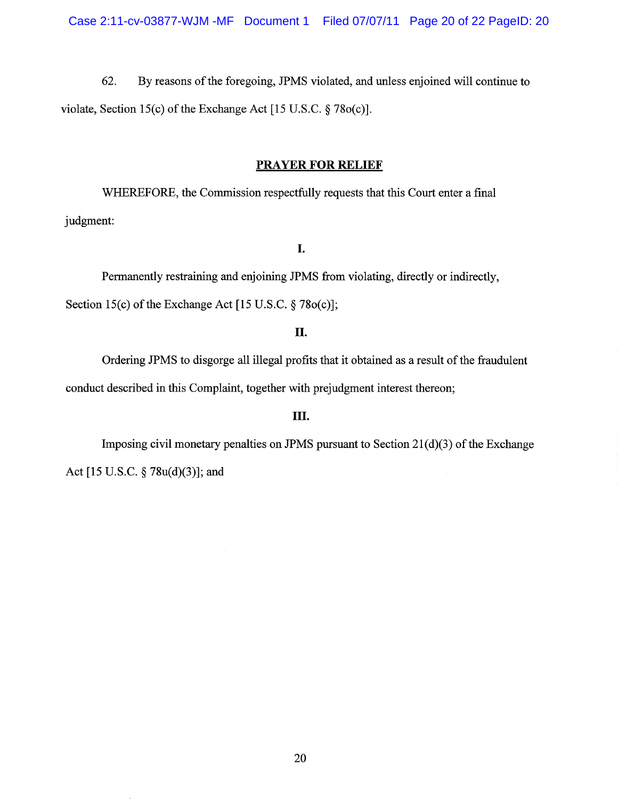62. By reasons of the foregoing, JPMS violated, and unless enjoined will continue to violate, Section 15(c) of the Exchange Act [15 U.S.C.  $\S$  780(c)].

#### **PRAYER FOR RELIEF**

WHEREFORE, the Commission respectfully requests that this Court enter a final judgment:

# **I.**

Permanently restraining and enjoining JPMS from violating, directly or indirectly, Section 15(c) of the Exchange Act  $[15 \text{ U.S.C.} \S 780 \text{ (c)}];$ 

# **II.**

Ordering JPMS to disgorge all illegal profits that it obtained as a result of the fraudulent conduct described in this Complaint, together with prejudgment interest thereon;

# **III.**

Imposing civil monetary penalties on JPMS pursuant to Section  $21(d)(3)$  of the Exchange Act [15 U.S.C. § 78u(d)(3)]; and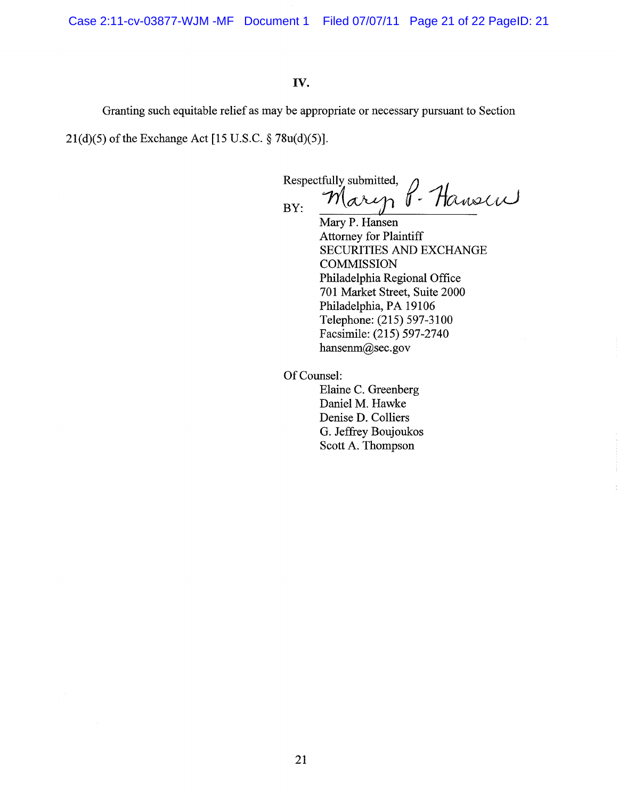Case 2:11-cv-03877-WJM -MF Document 1 Filed 07/07/11 Page 21 of 22 PageID: 21

# **IV.**

Granting such equitable relief as may be appropriate or necessary pursuant to Section

21(d)(5) of the Exchange Act [15 U.S.C. § 78u(d)(5)].

Respectfully submitted,<br> $M_{\alpha\lambda}$  $B_{\text{BY}}$  Mary P. Hansen

Mary P. Hansen Attorney for Plaintiff SECURITIES AND EXCHANGE **COMMISSION** Philadelphia Regional Office 701 Market Street, Suite 2000 Philadelphia, PA 19106 Telephone: (215) 597-3100 Facsimile: (215) 597-2740 hansenm@sec.gov

Of Counsel:

Elaine C. Greenberg Daniel M. Hawke Denise D. Colliers G. Jeffrey Boujoukos Scott A. Thompson